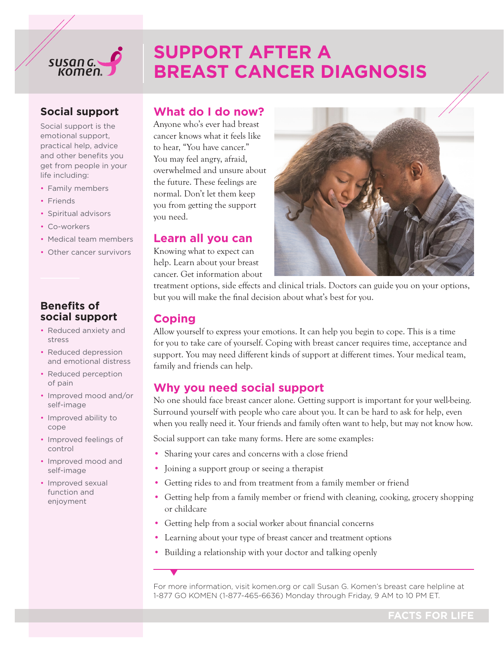

# **SUPPORT AFTER A BREAST CANCER DIAGNOSIS**

## **Social support**

Social support is the emotional support, practical help, advice and other benefits you get from people in your life including:

- Family members
- Friends
- Spiritual advisors
- Co-workers
- Medical team members
- Other cancer survivors

#### **Benefits of social support**

- Reduced anxiety and stress
- Reduced depression and emotional distress
- Reduced perception of pain
- Improved mood and/or self-image
- Improved ability to cope
- Improved feelings of control
- Improved mood and self-image
- Improved sexual function and enjoyment

### **What do I do now?**

Anyone who's ever had breast cancer knows what it feels like to hear, "You have cancer." You may feel angry, afraid, overwhelmed and unsure about the future. These feelings are normal. Don't let them keep you from getting the support you need.

#### **Learn all you can**

Knowing what to expect can help. Learn about your breast cancer. Get information about



treatment options, side effects and clinical trials. Doctors can guide you on your options, but you will make the final decision about what's best for you.

## **Coping**

Allow yourself to express your emotions. It can help you begin to cope. This is a time for you to take care of yourself. Coping with breast cancer requires time, acceptance and support. You may need different kinds of support at different times. Your medical team, family and friends can help.

#### **Why you need social support**

No one should face breast cancer alone. Getting support is important for your well-being. Surround yourself with people who care about you. It can be hard to ask for help, even when you really need it. Your friends and family often want to help, but may not know how.

Social support can take many forms. Here are some examples:

- Sharing your cares and concerns with a close friend
- Joining a support group or seeing a therapist
- Getting rides to and from treatment from a family member or friend
- Getting help from a family member or friend with cleaning, cooking, grocery shopping or childcare
- Getting help from a social worker about financial concerns
- Learning about your type of breast cancer and treatment options
- Building a relationship with your doctor and talking openly

For more information, visit [komen.org](https://ww5.komen.org) or call Susan G. Komen's breast care helpline at 1-877 GO KOMEN (1-877-465-6636) Monday through Friday, 9 AM to 10 PM ET.